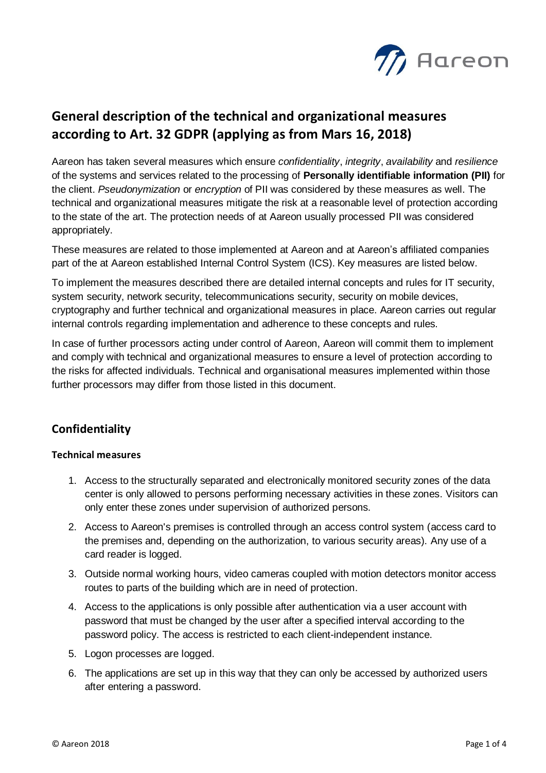

# **General description of the technical and organizational measures according to Art. 32 GDPR (applying as from Mars 16, 2018)**

Aareon has taken several measures which ensure *confidentiality*, *integrity*, *availability* and *resilience* of the systems and services related to the processing of **Personally identifiable information (PII)** for the client. *Pseudonymization* or *encryption* of PII was considered by these measures as well. The technical and organizational measures mitigate the risk at a reasonable level of protection according to the state of the art. The protection needs of at Aareon usually processed PII was considered appropriately.

These measures are related to those implemented at Aareon and at Aareon's affiliated companies part of the at Aareon established Internal Control System (ICS). Key measures are listed below.

To implement the measures described there are detailed internal concepts and rules for IT security, system security, network security, telecommunications security, security on mobile devices, cryptography and further technical and organizational measures in place. Aareon carries out regular internal controls regarding implementation and adherence to these concepts and rules.

In case of further processors acting under control of Aareon, Aareon will commit them to implement and comply with technical and organizational measures to ensure a level of protection according to the risks for affected individuals. Technical and organisational measures implemented within those further processors may differ from those listed in this document.

# **Confidentiality**

#### **Technical measures**

- 1. Access to the structurally separated and electronically monitored security zones of the data center is only allowed to persons performing necessary activities in these zones. Visitors can only enter these zones under supervision of authorized persons.
- 2. Access to Aareon's premises is controlled through an access control system (access card to the premises and, depending on the authorization, to various security areas). Any use of a card reader is logged.
- 3. Outside normal working hours, video cameras coupled with motion detectors monitor access routes to parts of the building which are in need of protection.
- 4. Access to the applications is only possible after authentication via a user account with password that must be changed by the user after a specified interval according to the password policy. The access is restricted to each client-independent instance.
- 5. Logon processes are logged.
- 6. The applications are set up in this way that they can only be accessed by authorized users after entering a password.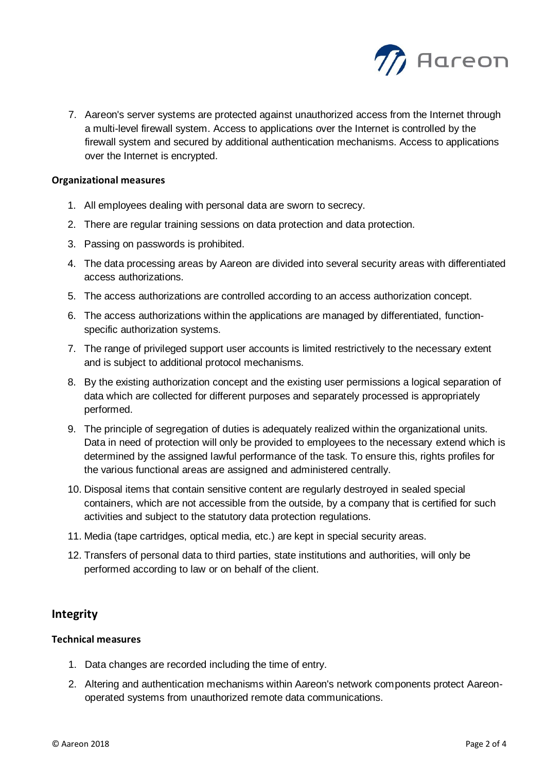

7. Aareon's server systems are protected against unauthorized access from the Internet through a multi-level firewall system. Access to applications over the Internet is controlled by the firewall system and secured by additional authentication mechanisms. Access to applications over the Internet is encrypted.

#### **Organizational measures**

- 1. All employees dealing with personal data are sworn to secrecy.
- 2. There are regular training sessions on data protection and data protection.
- 3. Passing on passwords is prohibited.
- 4. The data processing areas by Aareon are divided into several security areas with differentiated access authorizations.
- 5. The access authorizations are controlled according to an access authorization concept.
- 6. The access authorizations within the applications are managed by differentiated, functionspecific authorization systems.
- 7. The range of privileged support user accounts is limited restrictively to the necessary extent and is subject to additional protocol mechanisms.
- 8. By the existing authorization concept and the existing user permissions a logical separation of data which are collected for different purposes and separately processed is appropriately performed.
- 9. The principle of segregation of duties is adequately realized within the organizational units. Data in need of protection will only be provided to employees to the necessary extend which is determined by the assigned lawful performance of the task. To ensure this, rights profiles for the various functional areas are assigned and administered centrally.
- 10. Disposal items that contain sensitive content are regularly destroyed in sealed special containers, which are not accessible from the outside, by a company that is certified for such activities and subject to the statutory data protection regulations.
- 11. Media (tape cartridges, optical media, etc.) are kept in special security areas.
- 12. Transfers of personal data to third parties, state institutions and authorities, will only be performed according to law or on behalf of the client.

# **Integrity**

### **Technical measures**

- 1. Data changes are recorded including the time of entry.
- 2. Altering and authentication mechanisms within Aareon's network components protect Aareonoperated systems from unauthorized remote data communications.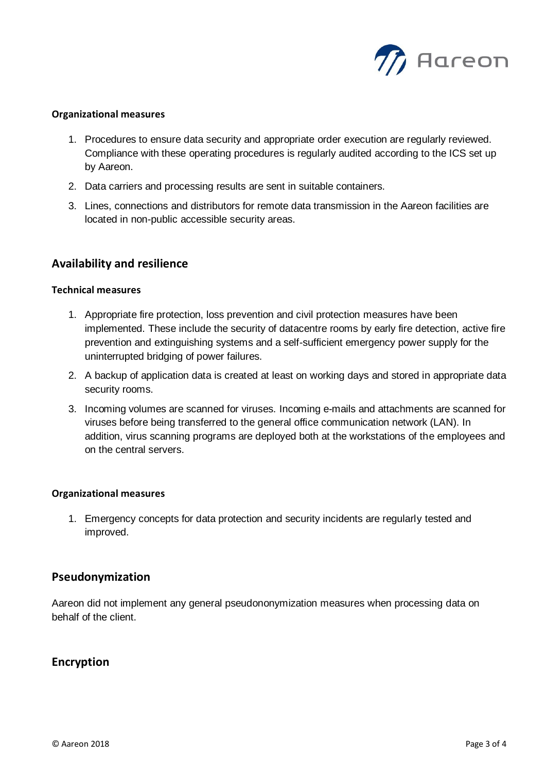

#### **Organizational measures**

- 1. Procedures to ensure data security and appropriate order execution are regularly reviewed. Compliance with these operating procedures is regularly audited according to the ICS set up by Aareon.
- 2. Data carriers and processing results are sent in suitable containers.
- 3. Lines, connections and distributors for remote data transmission in the Aareon facilities are located in non-public accessible security areas.

# **Availability and resilience**

#### **Technical measures**

- 1. Appropriate fire protection, loss prevention and civil protection measures have been implemented. These include the security of datacentre rooms by early fire detection, active fire prevention and extinguishing systems and a self-sufficient emergency power supply for the uninterrupted bridging of power failures.
- 2. A backup of application data is created at least on working days and stored in appropriate data security rooms.
- 3. Incoming volumes are scanned for viruses. Incoming e-mails and attachments are scanned for viruses before being transferred to the general office communication network (LAN). In addition, virus scanning programs are deployed both at the workstations of the employees and on the central servers.

#### **Organizational measures**

1. Emergency concepts for data protection and security incidents are regularly tested and improved.

# **Pseudonymization**

Aareon did not implement any general pseudononymization measures when processing data on behalf of the client.

# **Encryption**